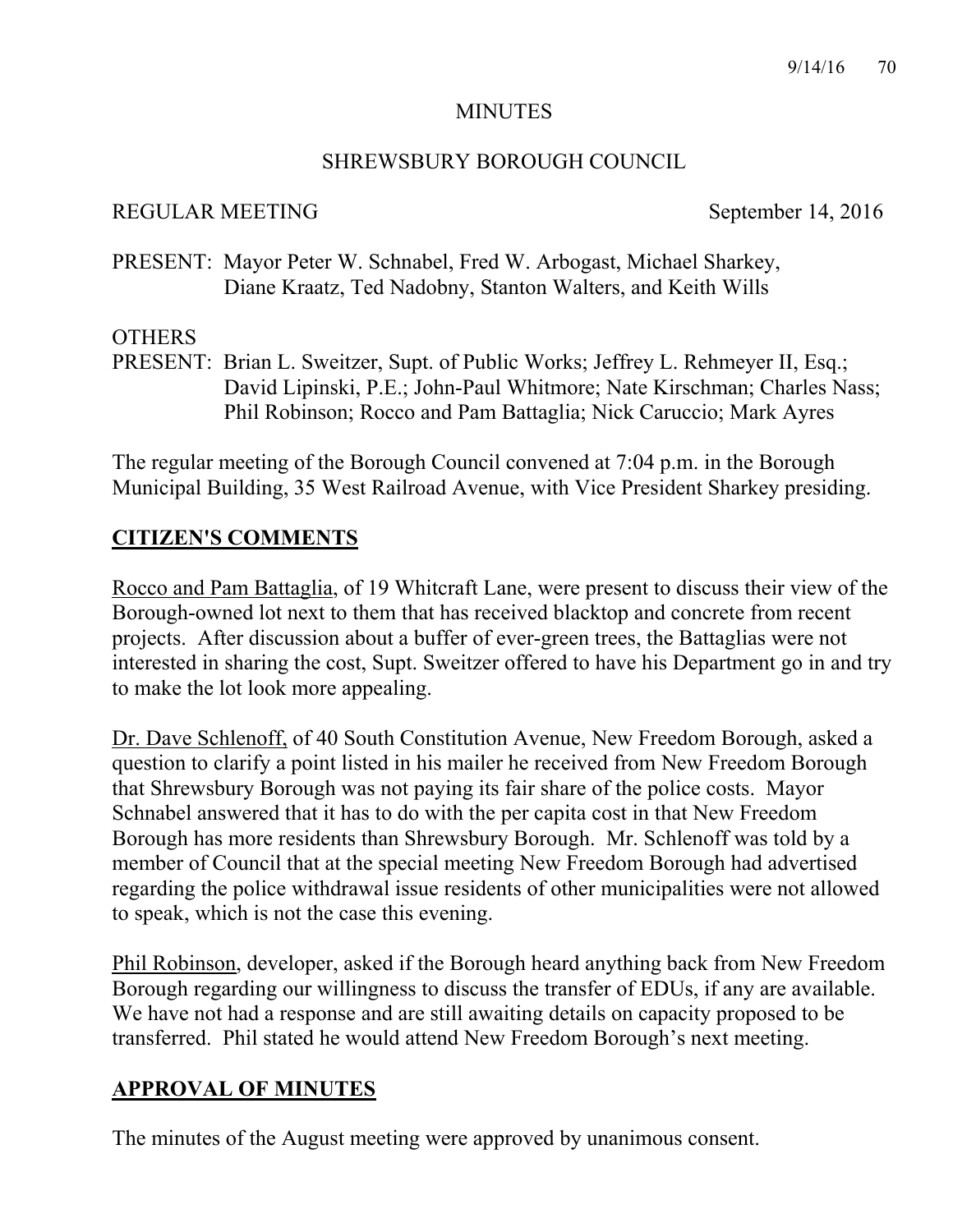## MINUTES

## SHREWSBURY BOROUGH COUNCIL

## REGULAR MEETING September 14, 2016

PRESENT: Mayor Peter W. Schnabel, Fred W. Arbogast, Michael Sharkey, Diane Kraatz, Ted Nadobny, Stanton Walters, and Keith Wills

## **OTHERS**

PRESENT: Brian L. Sweitzer, Supt. of Public Works; Jeffrey L. Rehmeyer II, Esq.; David Lipinski, P.E.; John-Paul Whitmore; Nate Kirschman; Charles Nass; Phil Robinson; Rocco and Pam Battaglia; Nick Caruccio; Mark Ayres

The regular meeting of the Borough Council convened at 7:04 p.m. in the Borough Municipal Building, 35 West Railroad Avenue, with Vice President Sharkey presiding.

## **CITIZEN'S COMMENTS**

Rocco and Pam Battaglia, of 19 Whitcraft Lane, were present to discuss their view of the Borough-owned lot next to them that has received blacktop and concrete from recent projects. After discussion about a buffer of ever-green trees, the Battaglias were not interested in sharing the cost, Supt. Sweitzer offered to have his Department go in and try to make the lot look more appealing.

Dr. Dave Schlenoff, of 40 South Constitution Avenue, New Freedom Borough, asked a question to clarify a point listed in his mailer he received from New Freedom Borough that Shrewsbury Borough was not paying its fair share of the police costs. Mayor Schnabel answered that it has to do with the per capita cost in that New Freedom Borough has more residents than Shrewsbury Borough. Mr. Schlenoff was told by a member of Council that at the special meeting New Freedom Borough had advertised regarding the police withdrawal issue residents of other municipalities were not allowed to speak, which is not the case this evening.

Phil Robinson, developer, asked if the Borough heard anything back from New Freedom Borough regarding our willingness to discuss the transfer of EDUs, if any are available. We have not had a response and are still awaiting details on capacity proposed to be transferred. Phil stated he would attend New Freedom Borough's next meeting.

## **APPROVAL OF MINUTES**

The minutes of the August meeting were approved by unanimous consent.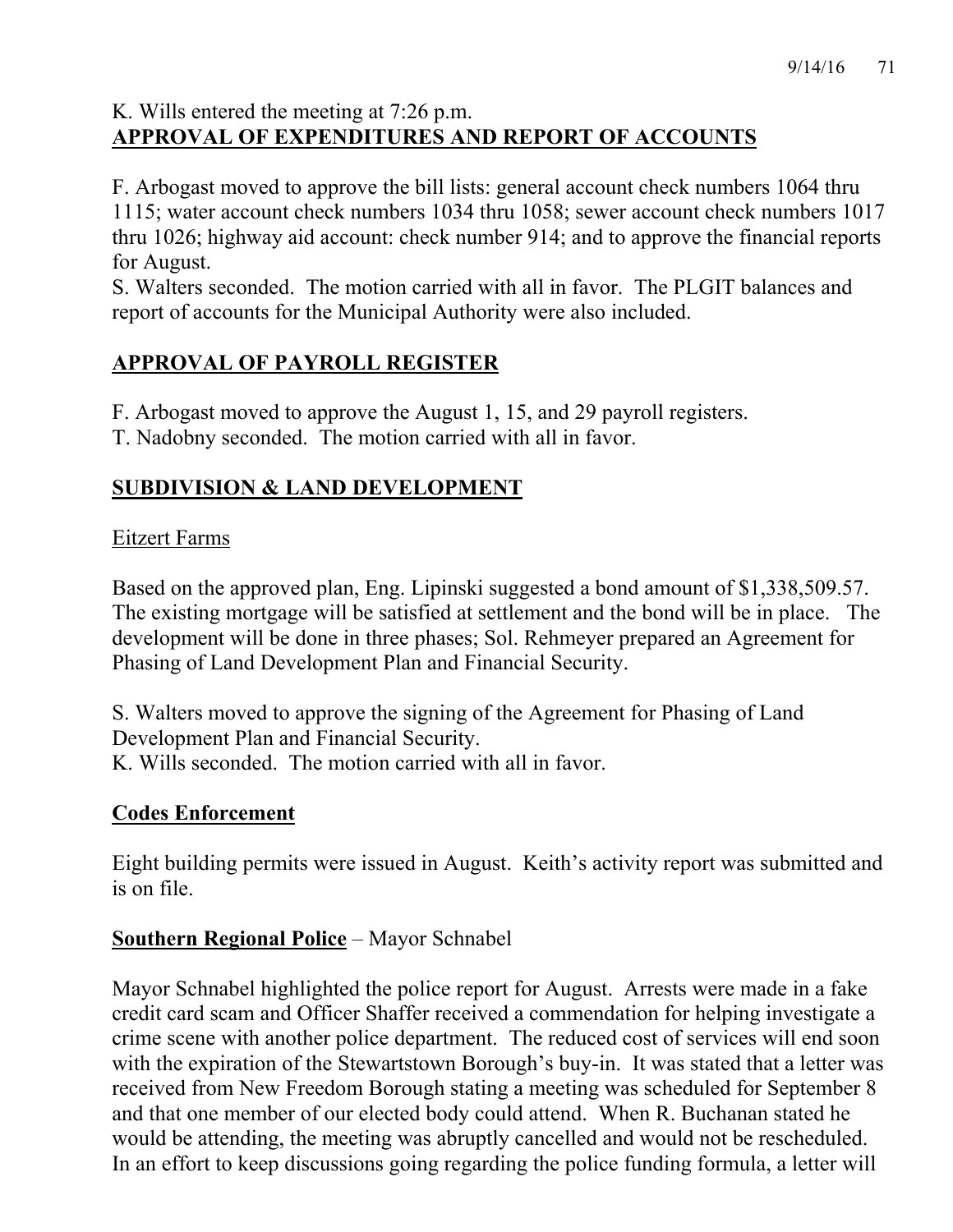# K. Wills entered the meeting at 7:26 p.m. **APPROVAL OF EXPENDITURES AND REPORT OF ACCOUNTS**

F. Arbogast moved to approve the bill lists: general account check numbers 1064 thru 1115; water account check numbers 1034 thru 1058; sewer account check numbers 1017 thru 1026; highway aid account: check number 914; and to approve the financial reports for August.

S. Walters seconded. The motion carried with all in favor. The PLGIT balances and report of accounts for the Municipal Authority were also included.

# **APPROVAL OF PAYROLL REGISTER**

F. Arbogast moved to approve the August 1, 15, and 29 payroll registers.

T. Nadobny seconded. The motion carried with all in favor.

# **SUBDIVISION & LAND DEVELOPMENT**

# Eitzert Farms

Based on the approved plan, Eng. Lipinski suggested a bond amount of \$1,338,509.57. The existing mortgage will be satisfied at settlement and the bond will be in place. The development will be done in three phases; Sol. Rehmeyer prepared an Agreement for Phasing of Land Development Plan and Financial Security.

S. Walters moved to approve the signing of the Agreement for Phasing of Land Development Plan and Financial Security. K. Wills seconded. The motion carried with all in favor.

# **Codes Enforcement**

Eight building permits were issued in August. Keith's activity report was submitted and is on file.

## **Southern Regional Police** – Mayor Schnabel

Mayor Schnabel highlighted the police report for August. Arrests were made in a fake credit card scam and Officer Shaffer received a commendation for helping investigate a crime scene with another police department. The reduced cost of services will end soon with the expiration of the Stewartstown Borough's buy-in. It was stated that a letter was received from New Freedom Borough stating a meeting was scheduled for September 8 and that one member of our elected body could attend. When R. Buchanan stated he would be attending, the meeting was abruptly cancelled and would not be rescheduled. In an effort to keep discussions going regarding the police funding formula, a letter will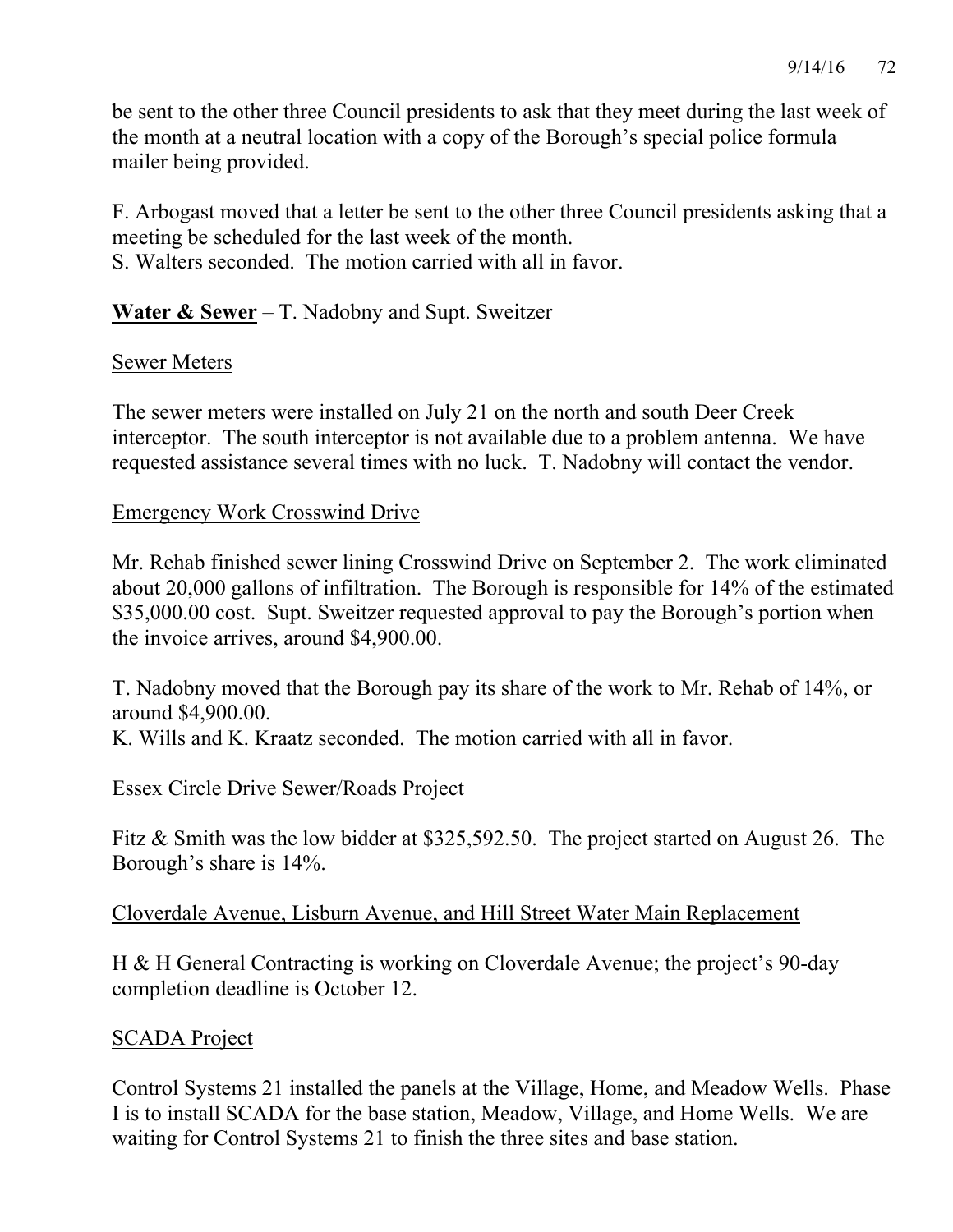be sent to the other three Council presidents to ask that they meet during the last week of the month at a neutral location with a copy of the Borough's special police formula mailer being provided.

F. Arbogast moved that a letter be sent to the other three Council presidents asking that a meeting be scheduled for the last week of the month.

S. Walters seconded. The motion carried with all in favor.

## **Water & Sewer** – T. Nadobny and Supt. Sweitzer

## Sewer Meters

The sewer meters were installed on July 21 on the north and south Deer Creek interceptor. The south interceptor is not available due to a problem antenna. We have requested assistance several times with no luck. T. Nadobny will contact the vendor.

## Emergency Work Crosswind Drive

Mr. Rehab finished sewer lining Crosswind Drive on September 2. The work eliminated about 20,000 gallons of infiltration. The Borough is responsible for 14% of the estimated \$35,000.00 cost. Supt. Sweitzer requested approval to pay the Borough's portion when the invoice arrives, around \$4,900.00.

T. Nadobny moved that the Borough pay its share of the work to Mr. Rehab of 14%, or around \$4,900.00.

K. Wills and K. Kraatz seconded. The motion carried with all in favor.

## Essex Circle Drive Sewer/Roads Project

Fitz & Smith was the low bidder at \$325,592.50. The project started on August 26. The Borough's share is 14%.

## Cloverdale Avenue, Lisburn Avenue, and Hill Street Water Main Replacement

H & H General Contracting is working on Cloverdale Avenue; the project's 90-day completion deadline is October 12.

## SCADA Project

Control Systems 21 installed the panels at the Village, Home, and Meadow Wells. Phase I is to install SCADA for the base station, Meadow, Village, and Home Wells. We are waiting for Control Systems 21 to finish the three sites and base station.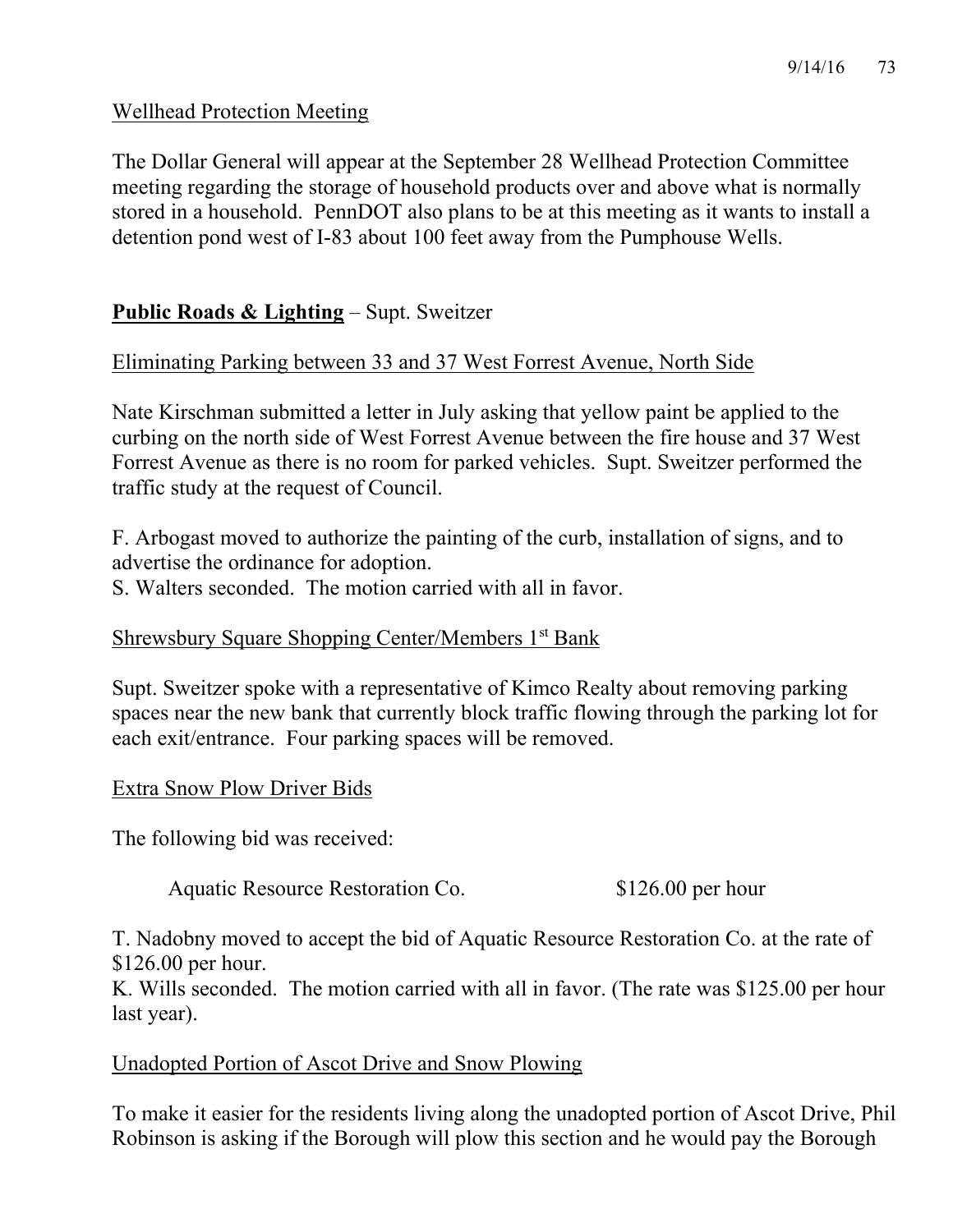## Wellhead Protection Meeting

The Dollar General will appear at the September 28 Wellhead Protection Committee meeting regarding the storage of household products over and above what is normally stored in a household. PennDOT also plans to be at this meeting as it wants to install a detention pond west of I-83 about 100 feet away from the Pumphouse Wells.

## **Public Roads & Lighting** – Supt. Sweitzer

## Eliminating Parking between 33 and 37 West Forrest Avenue, North Side

Nate Kirschman submitted a letter in July asking that yellow paint be applied to the curbing on the north side of West Forrest Avenue between the fire house and 37 West Forrest Avenue as there is no room for parked vehicles. Supt. Sweitzer performed the traffic study at the request of Council.

F. Arbogast moved to authorize the painting of the curb, installation of signs, and to advertise the ordinance for adoption. S. Walters seconded. The motion carried with all in favor.

## Shrewsbury Square Shopping Center/Members 1<sup>st</sup> Bank

Supt. Sweitzer spoke with a representative of Kimco Realty about removing parking spaces near the new bank that currently block traffic flowing through the parking lot for each exit/entrance. Four parking spaces will be removed.

#### Extra Snow Plow Driver Bids

The following bid was received:

Aquatic Resource Restoration Co. \$126.00 per hour

T. Nadobny moved to accept the bid of Aquatic Resource Restoration Co. at the rate of \$126.00 per hour.

K. Wills seconded. The motion carried with all in favor. (The rate was \$125.00 per hour last year).

## Unadopted Portion of Ascot Drive and Snow Plowing

To make it easier for the residents living along the unadopted portion of Ascot Drive, Phil Robinson is asking if the Borough will plow this section and he would pay the Borough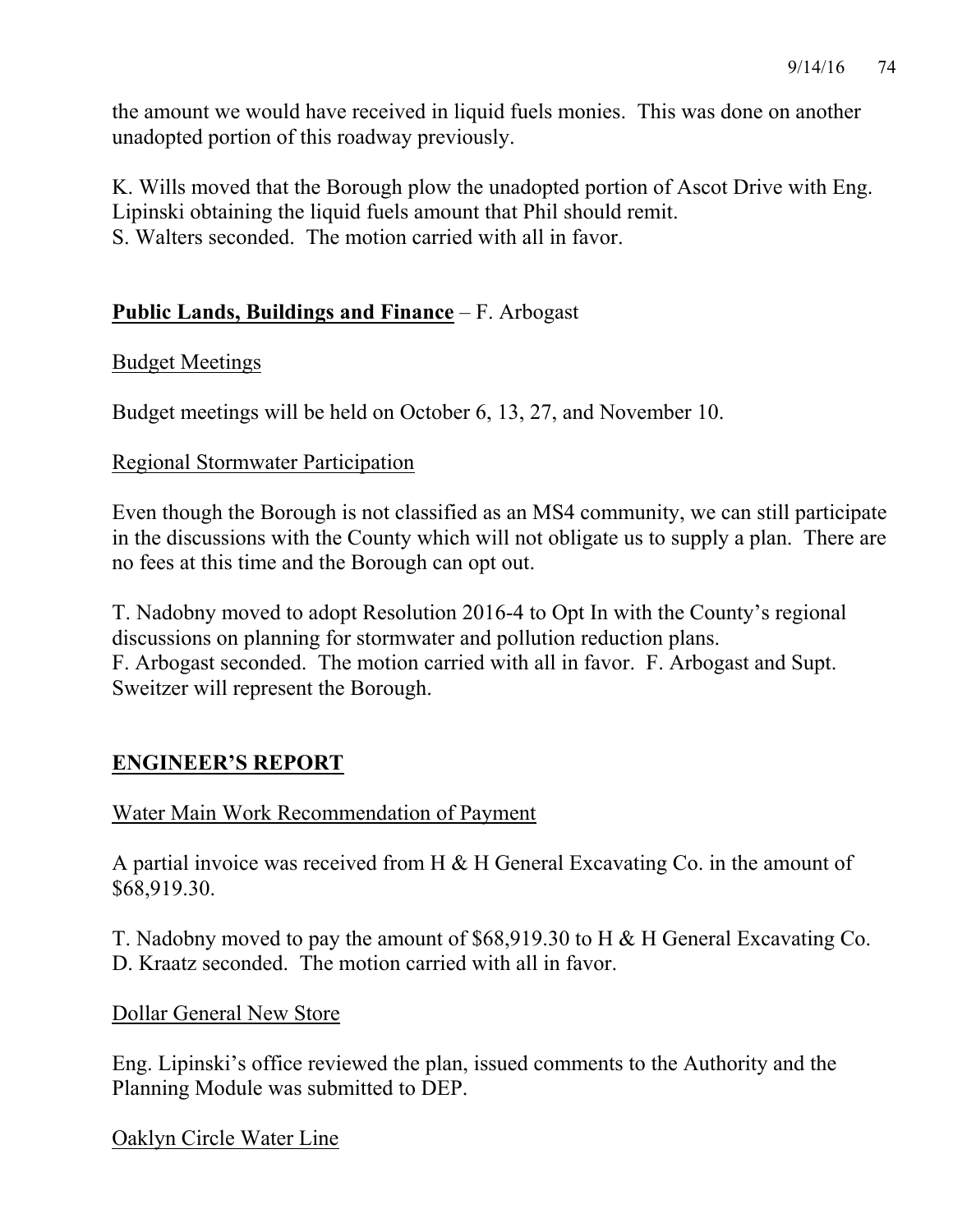the amount we would have received in liquid fuels monies. This was done on another unadopted portion of this roadway previously.

K. Wills moved that the Borough plow the unadopted portion of Ascot Drive with Eng. Lipinski obtaining the liquid fuels amount that Phil should remit. S. Walters seconded. The motion carried with all in favor.

## **Public Lands, Buildings and Finance** – F. Arbogast

## Budget Meetings

Budget meetings will be held on October 6, 13, 27, and November 10.

### Regional Stormwater Participation

Even though the Borough is not classified as an MS4 community, we can still participate in the discussions with the County which will not obligate us to supply a plan. There are no fees at this time and the Borough can opt out.

T. Nadobny moved to adopt Resolution 2016-4 to Opt In with the County's regional discussions on planning for stormwater and pollution reduction plans. F. Arbogast seconded. The motion carried with all in favor. F. Arbogast and Supt. Sweitzer will represent the Borough.

## **ENGINEER'S REPORT**

## Water Main Work Recommendation of Payment

A partial invoice was received from H & H General Excavating Co. in the amount of \$68,919.30.

T. Nadobny moved to pay the amount of \$68,919.30 to H & H General Excavating Co. D. Kraatz seconded. The motion carried with all in favor.

#### Dollar General New Store

Eng. Lipinski's office reviewed the plan, issued comments to the Authority and the Planning Module was submitted to DEP.

Oaklyn Circle Water Line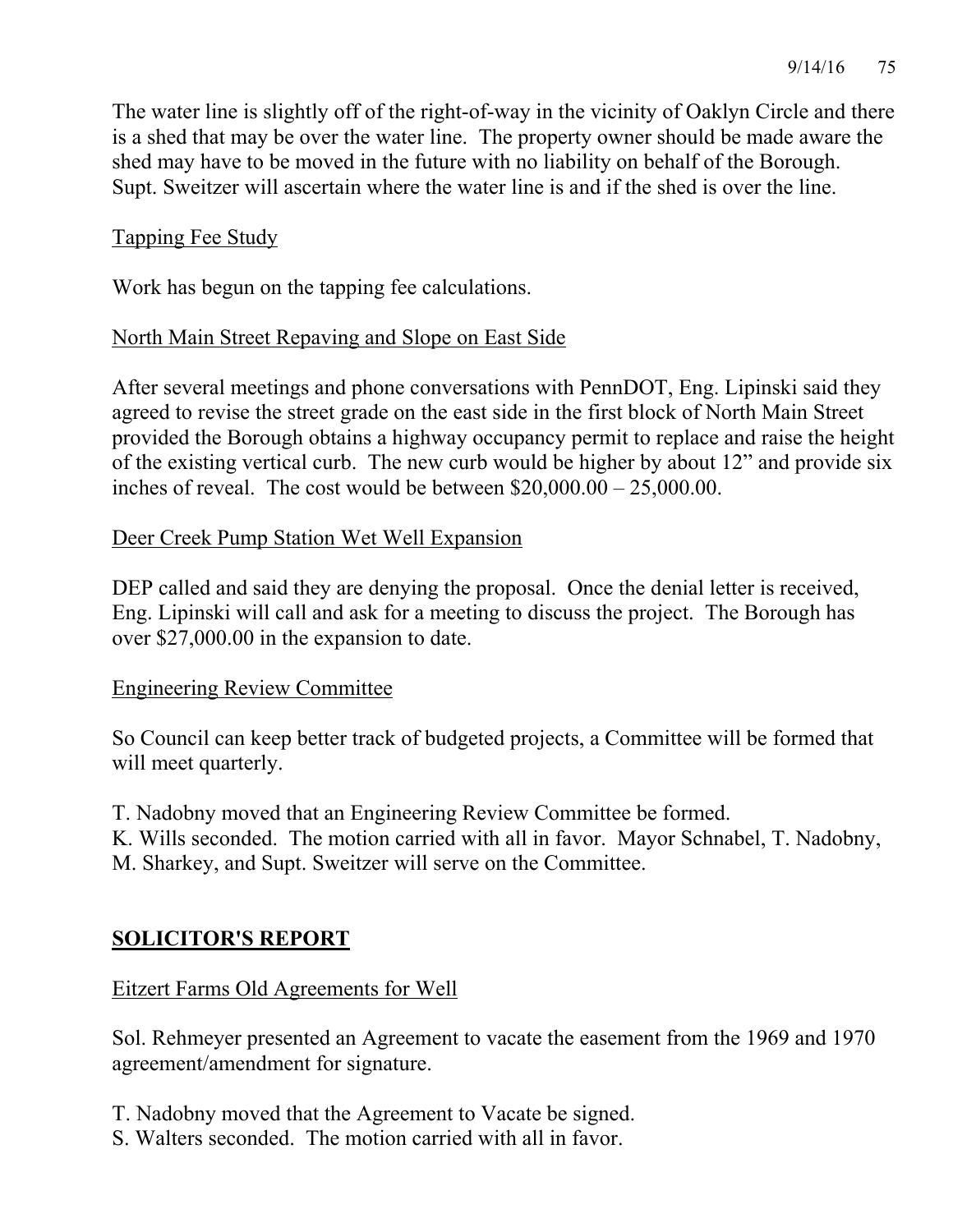The water line is slightly off of the right-of-way in the vicinity of Oaklyn Circle and there is a shed that may be over the water line. The property owner should be made aware the shed may have to be moved in the future with no liability on behalf of the Borough. Supt. Sweitzer will ascertain where the water line is and if the shed is over the line.

### Tapping Fee Study

Work has begun on the tapping fee calculations.

### North Main Street Repaving and Slope on East Side

After several meetings and phone conversations with PennDOT, Eng. Lipinski said they agreed to revise the street grade on the east side in the first block of North Main Street provided the Borough obtains a highway occupancy permit to replace and raise the height of the existing vertical curb. The new curb would be higher by about 12" and provide six inches of reveal. The cost would be between  $$20,000.00 - 25,000.00$ .

### Deer Creek Pump Station Wet Well Expansion

DEP called and said they are denying the proposal. Once the denial letter is received, Eng. Lipinski will call and ask for a meeting to discuss the project. The Borough has over \$27,000.00 in the expansion to date.

#### Engineering Review Committee

So Council can keep better track of budgeted projects, a Committee will be formed that will meet quarterly.

T. Nadobny moved that an Engineering Review Committee be formed.

K. Wills seconded. The motion carried with all in favor. Mayor Schnabel, T. Nadobny, M. Sharkey, and Supt. Sweitzer will serve on the Committee.

## **SOLICITOR'S REPORT**

## Eitzert Farms Old Agreements for Well

Sol. Rehmeyer presented an Agreement to vacate the easement from the 1969 and 1970 agreement/amendment for signature.

- T. Nadobny moved that the Agreement to Vacate be signed.
- S. Walters seconded. The motion carried with all in favor.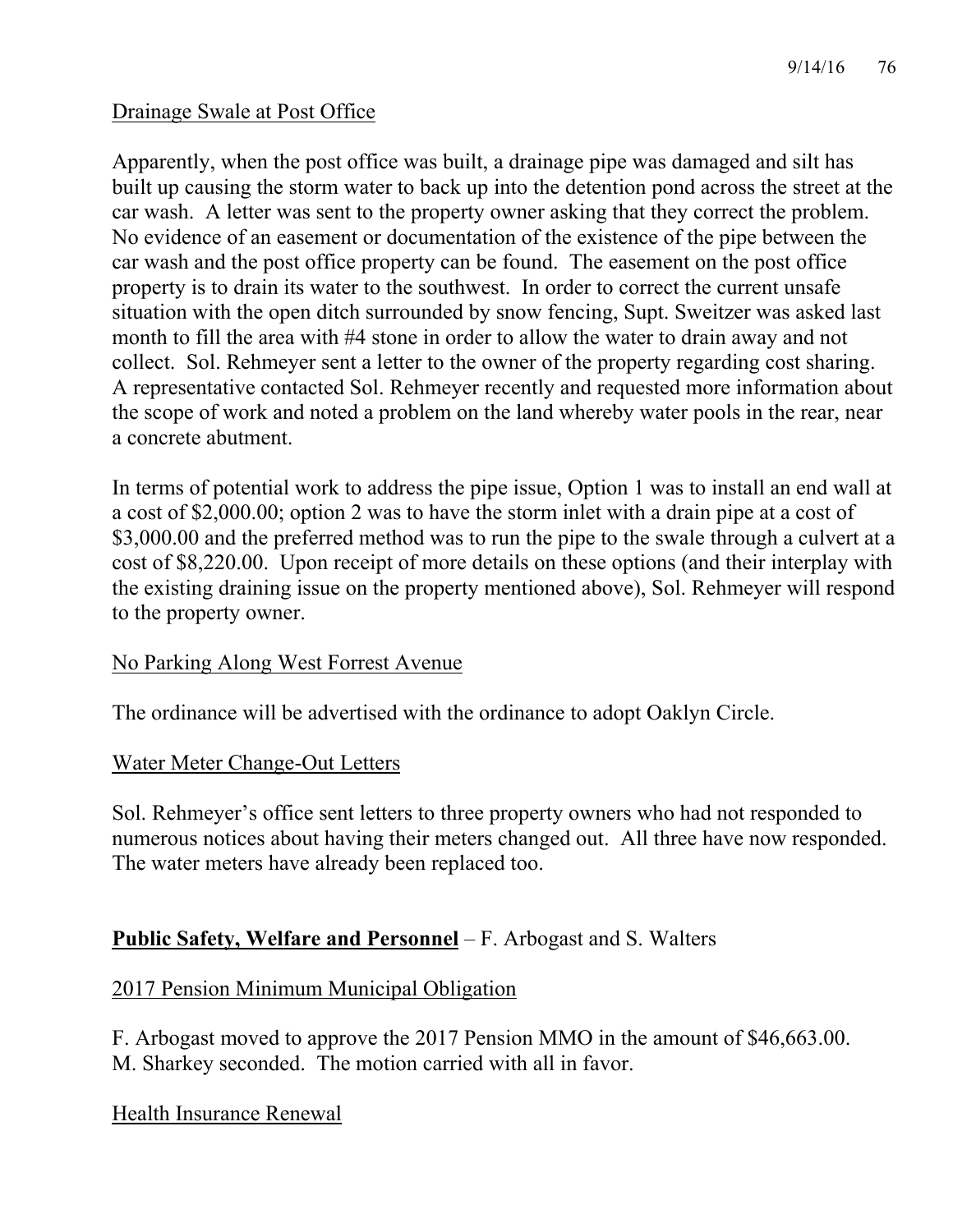### Drainage Swale at Post Office

Apparently, when the post office was built, a drainage pipe was damaged and silt has built up causing the storm water to back up into the detention pond across the street at the car wash. A letter was sent to the property owner asking that they correct the problem. No evidence of an easement or documentation of the existence of the pipe between the car wash and the post office property can be found. The easement on the post office property is to drain its water to the southwest. In order to correct the current unsafe situation with the open ditch surrounded by snow fencing, Supt. Sweitzer was asked last month to fill the area with #4 stone in order to allow the water to drain away and not collect. Sol. Rehmeyer sent a letter to the owner of the property regarding cost sharing. A representative contacted Sol. Rehmeyer recently and requested more information about the scope of work and noted a problem on the land whereby water pools in the rear, near a concrete abutment.

In terms of potential work to address the pipe issue, Option 1 was to install an end wall at a cost of \$2,000.00; option 2 was to have the storm inlet with a drain pipe at a cost of \$3,000.00 and the preferred method was to run the pipe to the swale through a culvert at a cost of \$8,220.00. Upon receipt of more details on these options (and their interplay with the existing draining issue on the property mentioned above), Sol. Rehmeyer will respond to the property owner.

#### No Parking Along West Forrest Avenue

The ordinance will be advertised with the ordinance to adopt Oaklyn Circle.

#### Water Meter Change-Out Letters

Sol. Rehmeyer's office sent letters to three property owners who had not responded to numerous notices about having their meters changed out. All three have now responded. The water meters have already been replaced too.

## **Public Safety, Welfare and Personnel** – F. Arbogast and S. Walters

#### 2017 Pension Minimum Municipal Obligation

F. Arbogast moved to approve the 2017 Pension MMO in the amount of \$46,663.00. M. Sharkey seconded. The motion carried with all in favor.

Health Insurance Renewal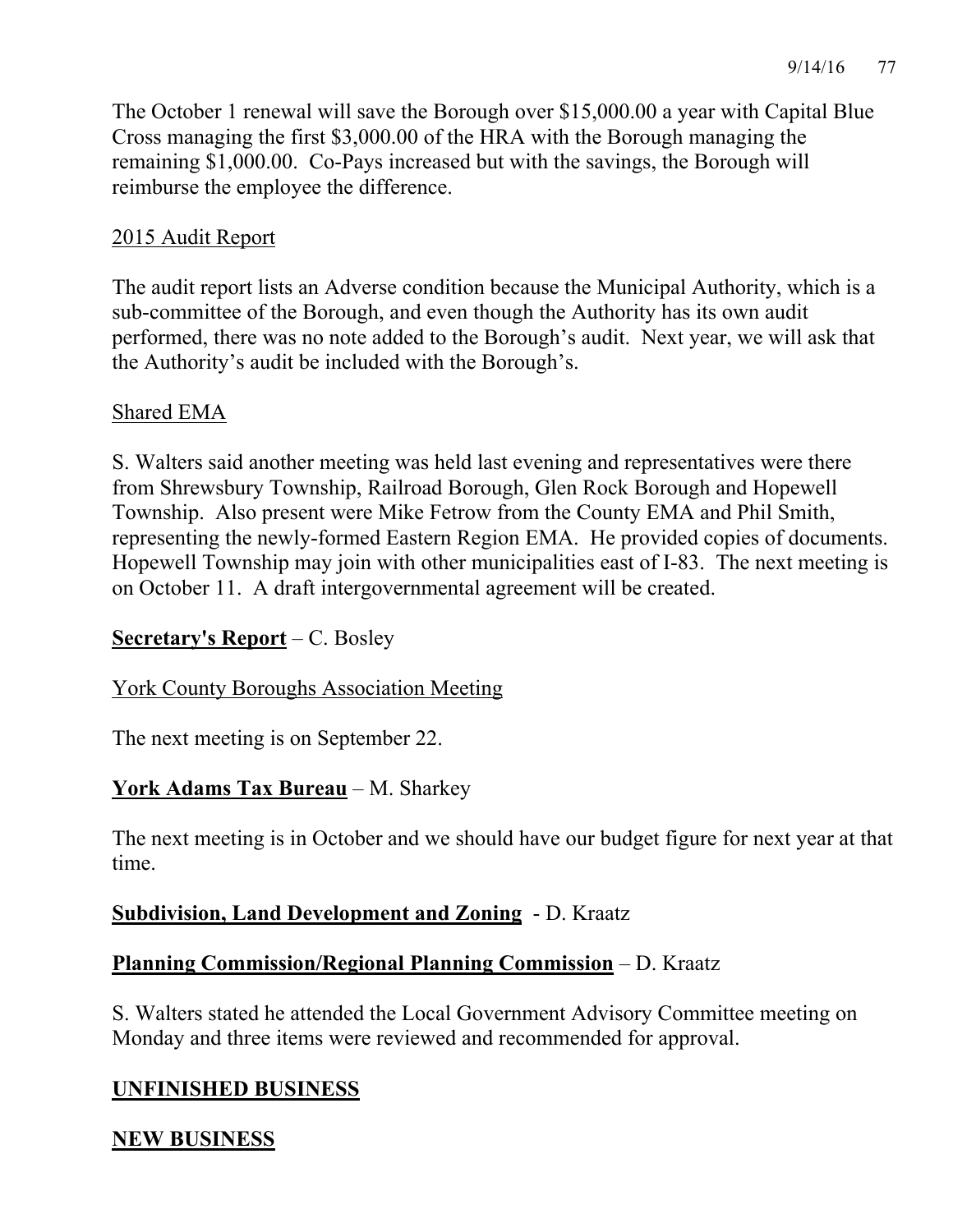The October 1 renewal will save the Borough over \$15,000.00 a year with Capital Blue Cross managing the first \$3,000.00 of the HRA with the Borough managing the remaining \$1,000.00. Co-Pays increased but with the savings, the Borough will reimburse the employee the difference.

## 2015 Audit Report

The audit report lists an Adverse condition because the Municipal Authority, which is a sub-committee of the Borough, and even though the Authority has its own audit performed, there was no note added to the Borough's audit. Next year, we will ask that the Authority's audit be included with the Borough's.

### Shared EMA

S. Walters said another meeting was held last evening and representatives were there from Shrewsbury Township, Railroad Borough, Glen Rock Borough and Hopewell Township. Also present were Mike Fetrow from the County EMA and Phil Smith, representing the newly-formed Eastern Region EMA. He provided copies of documents. Hopewell Township may join with other municipalities east of I-83. The next meeting is on October 11. A draft intergovernmental agreement will be created.

## **Secretary's Report** – C. Bosley

## York County Boroughs Association Meeting

The next meeting is on September 22.

## **York Adams Tax Bureau** – M. Sharkey

The next meeting is in October and we should have our budget figure for next year at that time.

## **Subdivision, Land Development and Zoning** - D. Kraatz

## **Planning Commission/Regional Planning Commission** – D. Kraatz

S. Walters stated he attended the Local Government Advisory Committee meeting on Monday and three items were reviewed and recommended for approval.

## **UNFINISHED BUSINESS**

## **NEW BUSINESS**